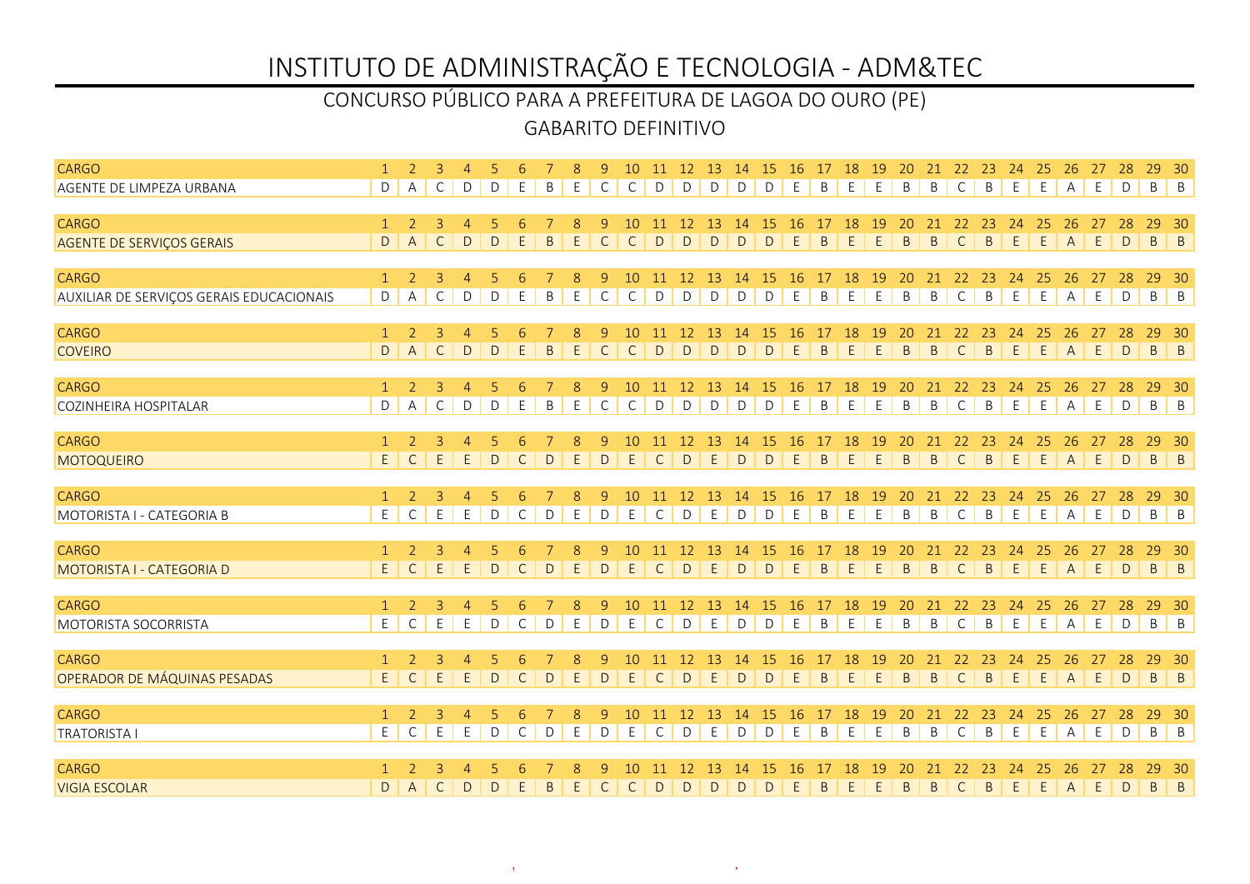### GABARITO DEFINITIVO CONCURSO PÚBLICO PARA A PREFEITURA DE LAGOA DO OURO (PE)

| <b>CARGO</b>                             |                   |                | 3              | $\overline{4}$ |              |              |         | 8           | 9            | 10           |              |               |               | 11 12 13 14 15 |               | 16 17 18      |              |                    | 19      | 20           |                |                    | 21 22 23 24    |             | 25           | 26             | 27 | 28           | 29                              | - 30           |
|------------------------------------------|-------------------|----------------|----------------|----------------|--------------|--------------|---------|-------------|--------------|--------------|--------------|---------------|---------------|----------------|---------------|---------------|--------------|--------------------|---------|--------------|----------------|--------------------|----------------|-------------|--------------|----------------|----|--------------|---------------------------------|----------------|
| AGENTE DE LIMPEZA URBANA                 | D                 | A              | C              | D              | D            | E.           | B       | E           | $\mathsf{C}$ | $\mathsf{C}$ | D            | D             | D             | D              | $\mathsf{D}$  | E             | B            | E                  | E       | B            | B              | $\mathsf{C}$       | B              | E           | E            | A              | E  | D            | B B                             |                |
|                                          |                   |                |                |                |              |              |         |             |              |              |              |               |               |                |               |               |              |                    |         |              |                |                    |                |             |              |                |    |              |                                 |                |
| <b>CARGO</b>                             | $\mathbf{1}$      | 2              | 3              | $\overline{4}$ |              |              |         | 8           | 9            | 10           | -11          | 12            | -13           | 14             | -15           | -16           | 17           | <sup>18</sup><br>E | 19      | 20           | 21             | 22                 | -23            | -24         | 25           | 26             | 27 | -28          | 29                              | - 30           |
| <b>AGENTE DE SERVIÇOS GERAIS</b>         | D                 | $\overline{A}$ | $\mathsf{C}$   | D              | D            | E            | B       | E           | $\mathsf{C}$ | $\mathsf{C}$ | D            | D             | D             | D              | D             | E             | <sub>B</sub> |                    | E       | B            | B              | $\mathsf{C}$       | $\mathsf B$    | E           | E            | $\overline{A}$ | E. | D            | $\mathsf B$                     | $\vert$ B      |
| <b>CARGO</b>                             | $\mathbf{1}$      | 2              | 3              | $\overline{4}$ | 5            | 6            |         | 8           | 9            | 10           | 11           | 12            | 13            | 14             | <sup>15</sup> | <b>16</b>     | 17           | 18                 | 19      | 20           | 21             | 22                 | 23             | 24          | 25           | 26             | 27 | 28           | 29                              | $-30$          |
| AUXILIAR DE SERVIÇOS GERAIS EDUCACIONAIS | D                 | Α              | $\mathsf{C}$   | D              | D            | E            | B       | E           | $\mathsf{C}$ | $\mathsf{C}$ | D            | D             | D             | D              | D             | E             | B            | E                  | E       | B            | B              | $\mathsf{C}$       | $\mathsf B$    | E           | E            | Α              | E  | D            | $B \mid B$                      |                |
|                                          |                   |                |                |                |              |              |         |             |              |              |              |               |               |                |               |               |              |                    |         |              |                |                    |                |             |              |                |    |              |                                 |                |
| <b>CARGO</b>                             | $\mathbf{1}$      | <sup>2</sup>   | $\overline{3}$ | $\overline{4}$ | -5           |              |         | 8           | 9            | 10           | 11           | 12            | <sup>13</sup> | 14             | 15            | <sup>16</sup> | 17           | 18                 | 19      | 20           | 21             | 22                 | 23             | 24          | 25           | 26             |    |              | 29                              | - 30           |
| <b>COVEIRO</b>                           | $\mathsf D$       | $\overline{A}$ | $\mathsf C$    | $\mathsf D$    | D            | E            | $\sf B$ | $\mathsf E$ | $\mathsf C$  | $\mathsf{C}$ | D            | D             | $\mathsf D$   | $\mathsf D$    | D             | $\mathsf E$   | B            | $\mathsf E$        | E       | $\mathsf{B}$ | $\,$ B         | $\mathsf C$        | $\sf B$        | $\mathsf E$ | $\mathsf{E}$ | A              | E  | $\vert$ D    | $B \mid B$                      |                |
| <b>CARGO</b>                             | $\mathbf{1}$      | 2              | 3              | $\overline{4}$ | 5            | 6            |         | 8           | 9            | 10           | 11           | 12            | 13            | 14             | <sup>15</sup> | <b>16</b>     | 17           | 18                 | 19      | 20           | 21             | 22                 | 23             | 24          | 25           | 26             | 27 | 28           | 29                              | - 30           |
| <b>COZINHEIRA HOSPITALAR</b>             | D                 | $\overline{A}$ | C              | D              | D            | Ε            | B       | E           | C            | $\mathsf{C}$ | D            | D             | D             | D              | D             | E             | B            | E                  | E       | B            | B              | C                  | B              | E           | E            | $\overline{A}$ | E  | $\mathsf{D}$ | $\mathsf{B}$ $\mathsf{B}$       |                |
|                                          |                   |                |                |                |              |              |         |             |              |              |              |               |               |                |               |               |              |                    |         |              |                |                    |                |             |              |                |    |              |                                 |                |
| <b>CARGO</b>                             | $\mathbf{1}$      | 2              | 3              | $\overline{4}$ |              | 6            |         | 8           | 9            | 10           | -11          | <sup>12</sup> | -13           | 14             | -15           | 16            | 17           | 18                 | 19      | 20           | 21             | 22                 | 23             | 24          | 25           | 26             | 27 | 28           | 29                              | - 30           |
| MOTOQUEIRO                               | E                 | $\mathsf{C}$   | E              | E.             | $\mathsf{D}$ | $\mathsf{C}$ | D       | E           | $\mathsf{D}$ | E            | $\mathsf{C}$ | D             | E             | $\mathsf{D}$   | D             | E             | B            | E                  | E       | B            | $\overline{B}$ | $\mathsf{C}$       | $\overline{B}$ | E           | E            | $\overline{A}$ | E  | $\mathsf{D}$ | $B \mid B$                      |                |
|                                          |                   |                |                |                |              |              |         |             |              |              |              |               |               |                |               |               |              |                    |         |              |                |                    |                |             |              |                |    |              |                                 |                |
| <b>CARGO</b>                             | $\mathbf{1}$<br>E | 2              | 3<br>E         | $\overline{4}$ |              |              |         | 8           | 9            | 10           | 11           | 12            | 13            | 14             | 15            | -16           | 17           | 18<br>$\mathsf E$  | 19<br>E | 20           | 21             | 22<br>$\mathsf{C}$ | 23<br>$\sf B$  | 24          | 25           | 26             | 27 | 28<br>D      | 29<br>$\mathsf{B}$ $\mathsf{B}$ | - 30           |
| MOTORISTA I - CATEGORIA B                |                   | $\mathsf{C}$   |                | E              | D            | $\mathsf{C}$ | D       | E           | D            | E            | $\mathsf{C}$ | D             | E             | $\mathsf D$    | D             | E             | B            |                    |         | B            | B              |                    |                | E           | E            | Α              | E  |              |                                 |                |
| <b>CARGO</b>                             | $\mathbf{1}$      | 2              | 3              | $\overline{4}$ |              |              |         | 8           | 9            | 10           | 11           | <sup>12</sup> | 13            | 14             | 15            | 16            | 17           | 18                 | 19      | 20           | 21             | 22                 | 23             | 24          | 25           | 26             | 27 | 28           | 29                              | $-30$          |
| MOTORISTA I - CATEGORIA D                | $\mathsf{E}$      | $\mathsf{C}$   | E.             | E              | D            | $\mathsf{C}$ | D       | E           | $\mathsf D$  | E            | $\mathsf{C}$ | D             | E             | D              | D             | E             | B            | E                  | E       | B            | $\mathsf B$    | $\mathsf{C}$       | $\mathsf B$    | E           | E            | $\mathsf{A}$   | E  | D            | $\mathsf{B}$                    | $\vert$ B      |
|                                          |                   |                |                |                |              |              |         |             |              |              |              |               |               |                |               |               |              |                    |         |              |                |                    |                |             |              |                |    |              |                                 |                |
| <b>CARGO</b>                             | $\mathbf{1}$      | $\overline{2}$ | $\overline{3}$ | $\overline{4}$ |              |              |         | 8           | 9            | 10           | 11           | 12            | 13            | 14             | <sup>15</sup> | <b>16</b>     | 17           | 18                 | 19      | 20           | 21             | 22                 | 23             | 24          | 25           | 26             |    |              | 29                              | - 30           |
| <b>MOTORISTA SOCORRISTA</b>              | E                 | $\mathsf{C}$   | E              | E              | $\mathsf{D}$ | $\mathsf{C}$ | D       | E           | $\mathsf D$  | E            | $\mathsf{C}$ | D             | E             | D              | D             | E             | B            | E                  | E       | B            | B              | $\mathsf{C}$       | B              | E           | E            | $\overline{A}$ | E  | $\vert$ D    | $\mathsf{B}$ $\mathsf{B}$       |                |
| <b>CARGO</b>                             | $\mathbf{1}$      | 2              | 3              | $\overline{4}$ |              |              |         | 8           | 9            | 10           |              | 12            | 13            | 14             | <b>15</b>     | 16            | 17           | 18                 | 19      | 20           |                | 22                 | -23            | 24          | 25           | 26             |    |              | 29                              | - 30           |
| OPERADOR DE MÁQUINAS PESADAS             | E                 | $\mathsf{C}$   | E              | E              | $\mathsf{D}$ | $\mathsf{C}$ | D       | E           | D            | E            | $\mathsf{C}$ | D             | E             | $\mathsf{D}$   | D             | E             | B            | $\mathsf E$        | E       | B            | $\mathsf B$    | $\mathsf{C}$       | $\mathsf B$    | E           | E            | $\mathsf{A}$   | E  | D            | $\mathsf B$                     | $\vert$ B      |
|                                          |                   |                |                |                |              |              |         |             |              |              |              |               |               |                |               |               |              |                    |         |              |                |                    |                |             |              |                |    |              |                                 |                |
| <b>CARGO</b>                             | $\overline{1}$    | $\mathcal{P}$  | 3              | $\overline{4}$ | 5            | 6            |         | 8           | 9            | 10           | 11           | 12            | -13           | 14             | 15            | 16            |              | 18                 | -19     | 20           | 21             | 22                 | 23             | -24         | 25           | 26             | 27 | 28           | 29                              | 30             |
| <b>TRATORISTA I</b>                      | E                 | C              | E              | E              | D            | C            | D       | E           | D            | E            | C            | D             | E             | $\mathsf D$    | D             | E             | B            | E                  | E       | B            | B              | C                  | B              | E           | E            | А              | E  | D            | B                               | $\overline{B}$ |
|                                          |                   |                |                |                |              |              |         |             |              |              |              |               |               |                |               |               |              |                    |         |              |                |                    |                |             |              |                |    |              |                                 |                |
| <b>CARGO</b>                             |                   |                |                |                |              |              |         |             |              |              |              |               |               | 14             |               | 16            |              | 18                 | -19     |              | 21             | 22                 | -23            | -24         | -25          | 26             |    | 28           | 29                              | - 30           |
| <b>VIGIA ESCOLAR</b>                     | D                 | $\mathsf{A}$   | C              | D              | D            | E            | B       | E           | $\mathsf{C}$ | $\mathsf{C}$ | D            | D             | D             | D              | D             | E             | B            | E                  | E       | B            | B              | $\mathsf{C}$       | $\mathsf B$    | E           | E            | A              | E  | D            | $\mathsf{B}$                    | $\vert$ B      |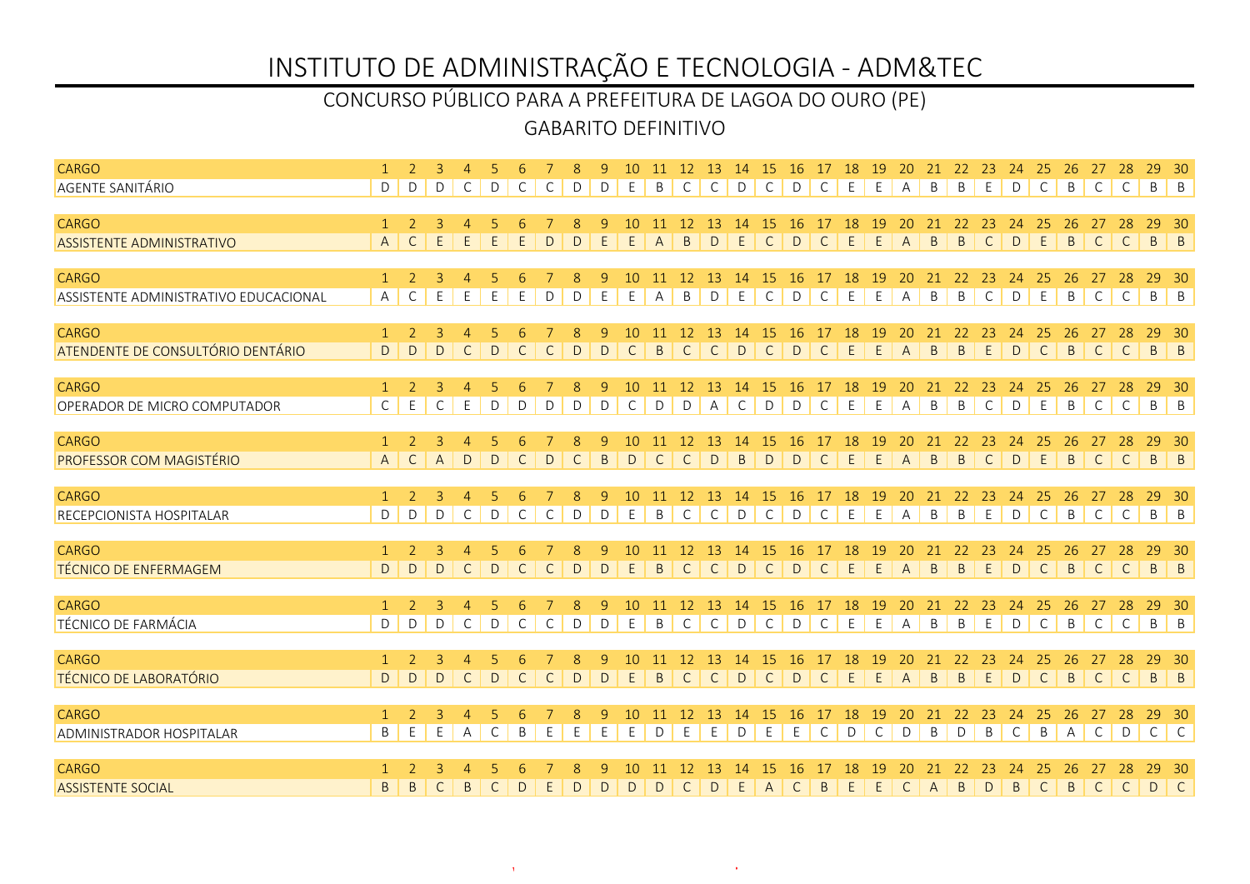### GABARITO DEFINITIVO CONCURSO PÚBLICO PARA A PREFEITURA DE LAGOA DO OURO (PE)

| <b>CARGO</b>                                     |                   |                |                | $\overline{4}$ |             |              |              | 8            | 9           | 10 <sup>1</sup>    |              |                    |                |              | 11 12 13 14 15 16 17 18       |                    |                      |                              | 19                       | <b>20</b>          |                    | 21 22 23       |                    | 24           | 25                 | 26                 | 27                 | 28                 | 29                        | - 30                                                        |
|--------------------------------------------------|-------------------|----------------|----------------|----------------|-------------|--------------|--------------|--------------|-------------|--------------------|--------------|--------------------|----------------|--------------|-------------------------------|--------------------|----------------------|------------------------------|--------------------------|--------------------|--------------------|----------------|--------------------|--------------|--------------------|--------------------|--------------------|--------------------|---------------------------|-------------------------------------------------------------|
| <b>AGENTE SANITÁRIO</b>                          | D                 | D              | D              | C              | D           | C            | C            | D            | D           | E                  | B            | $\mathsf{C}$       | $\mathsf{C}$   | D            | $\mathsf{C}$                  | D                  | $\mathsf{C}$         | E                            | E                        | $\mathsf{A}$       | B                  | B              | E                  | D            | $\mathsf{C}$       | B                  | $\mathsf{C}$       | $\mathsf{C}$       | B B                       |                                                             |
|                                                  | $\mathbf{1}$      | $\overline{2}$ | $\overline{3}$ |                |             |              |              |              |             |                    |              |                    |                |              |                               |                    |                      |                              |                          |                    |                    |                |                    |              |                    |                    |                    |                    |                           |                                                             |
| <b>CARGO</b><br><b>ASSISTENTE ADMINISTRATIVO</b> | $\overline{A}$    | $\mathsf{C}$   | E              | E              | E           | E            | D            | D            | 9<br>E      | 10<br>E            | A            | <sup>12</sup><br>B | -13<br>D       | 14<br>E      | <sup>15</sup><br>$\mathsf{C}$ | -16<br>$\mathsf D$ | 17<br>$\mathsf{C}$   | <sup>18</sup><br>$\mathsf E$ | <b>19</b><br>$\mathsf E$ | 20<br>$\mathsf{A}$ | 21<br>$\mathsf{B}$ | 22<br>B        | 23<br>$\mathsf{C}$ | 24<br>D      | 25<br>E            | 26<br>$\mathsf{B}$ | 27<br>$\mathsf{C}$ | 28<br>$\mathsf{C}$ | 29<br>$\, {\sf B}$        | - 30<br>$\vert$ B                                           |
|                                                  |                   |                |                |                |             |              |              |              |             |                    |              |                    |                |              |                               |                    |                      |                              |                          |                    |                    |                |                    |              |                    |                    |                    |                    |                           |                                                             |
| <b>CARGO</b>                                     | $\mathbf{1}$      | 2              | 3              | $\overline{4}$ | 5           | 6            |              | 8            | 9           | 10                 | 11           | <sup>12</sup>      | 13             | 14           | 15                            | -16                | 17                   | 18                           | <sup>19</sup>            | 20                 | 21                 | 22             | 23                 | 24           | 25                 | 26                 | 27                 | 28                 | 29                        | - 30                                                        |
| ASSISTENTE ADMINISTRATIVO EDUCACIONAL            | A                 | C              | E              | E              | E           | Ε            | D            | D            | E           | E                  | А            | B                  | D              | E            | C                             | D                  | C                    | E                            | E                        | Α                  | B                  | B              | $\mathsf{C}$       | D            | E                  | B                  | $\mathsf{C}$       | $\mathsf{C}$       | B                         | $\vert$ B                                                   |
|                                                  |                   |                |                |                |             |              |              |              |             |                    |              |                    |                |              |                               |                    |                      |                              |                          |                    |                    |                |                    |              |                    |                    |                    |                    |                           |                                                             |
| <b>CARGO</b>                                     | $\mathbf{1}$<br>D | 2<br>D         | $\overline{3}$ | $\overline{4}$ | 5           |              |              | 8            | 9           | 10<br>$\mathsf{C}$ | 11           | 12                 | 13             | 14           | 15<br>$\mathsf{C}$            | 16                 | 17<br>$\overline{C}$ | 18                           | 19<br>E                  | 20                 | 21                 | 22             | 23                 | 24<br>D      | 25<br>$\mathsf{C}$ | 26                 | $\mathsf{C}$       | 28                 | 29                        | $30^{\circ}$                                                |
| ATENDENTE DE CONSULTÓRIO DENTÁRIO                |                   |                | $\mathsf{D}$   | $\mathsf{C}$   | $\mathsf D$ | $\mathsf{C}$ | $\mathsf C$  | $\mathsf{D}$ | $\mathsf D$ |                    | $\mathsf B$  | $\mathsf{C}$       | $\mathsf{C}$   | D            |                               | D                  |                      | $\mathsf E$                  |                          | A                  | B                  | $\mathsf{B}$   | E                  |              |                    | B                  |                    | C                  | $B \mid B$                |                                                             |
| <b>CARGO</b>                                     | $\mathbf{1}$      | 2              | 3              | 4              |             |              |              | 8            | 9           | 10                 |              | 12                 | -13            | 14           | -15                           | 16                 |                      | 18                           | 19                       |                    |                    | 22             | -23                | 24           |                    | 26                 |                    |                    |                           | -30                                                         |
| OPERADOR DE MICRO COMPUTADOR                     | $\mathsf{C}$      | E              | C              | E              | D           | D            | D            | D            | D           | C                  | D            | D                  | $\overline{A}$ | C            | D                             | D                  | C                    | E                            | E                        | $\mathsf{A}$       | B                  | B              | C                  | D            | E                  | B                  | $\mathsf{C}$       | $\mathsf{C}$       | $\mathsf B$               | $\vert$ B                                                   |
|                                                  |                   |                |                |                |             |              |              |              |             |                    |              |                    |                |              |                               |                    |                      |                              |                          |                    |                    |                |                    |              |                    |                    |                    |                    |                           |                                                             |
| <b>CARGO</b>                                     | $\mathbf{1}$      | $\overline{2}$ | $\overline{3}$ | $\overline{4}$ | 5           | 6            |              | 8            | 9           | 10                 | -11          | 12                 | 13             | -14          | <b>15</b>                     | 16                 | 17                   | 18                           | 19                       | 20                 | 21                 | 22             | 23                 | 24           | 25                 | 26                 | 27                 | 28                 | 29                        | - 30                                                        |
| <b>PROFESSOR COM MAGISTÉRIO</b>                  | $\overline{A}$    | $\mathsf{C}$   | $\overline{A}$ | D              | D           | C            | D            | $\mathsf{C}$ | B           | D                  | $\mathsf{C}$ | $\mathsf{C}$       | D              | $\mathsf{B}$ | D                             | D                  | $\mathsf{C}$         | E                            | E                        | $\overline{A}$     | $\overline{B}$     | B              | $\mathsf{C}$       | D            | E                  | B                  | $\mathsf{C}$       | $\mathsf{C}$       | $\mathsf{B}$              | $\mathsf{B}$                                                |
| CARGO                                            | $\mathbf{1}$      | $\mathcal{L}$  | 3              | $\overline{4}$ |             |              |              | 8            | 9           | 10                 | 11 12        |                    | 13             |              | 14 15 16                      |                    | 17 18                |                              | 19                       | 20                 |                    | 21 22 23       |                    | 24           | 25                 | -26                | 27                 | 28                 | 29 30                     |                                                             |
| RECEPCIONISTA HOSPITALAR                         | D                 | D              | D              | C              | D           | C            | C            | D            | $\mathsf D$ | E                  | B            | $\mathsf{C}$       | $\mathsf{C}$   | D            | $\mathsf{C}$                  | D                  | $\mathsf{C}$         | E                            | E                        | Α                  | $\mathsf B$        | $\mathsf B$    | E                  | $\mathsf D$  | $\mathsf C$        | B                  | $\mathsf{C}$       | $\mathsf{C}$       | $\mathsf{B}$ $\mathsf{B}$ |                                                             |
|                                                  |                   |                |                |                |             |              |              |              |             |                    |              |                    |                |              |                               |                    |                      |                              |                          |                    |                    |                |                    |              |                    |                    |                    |                    |                           |                                                             |
| <b>CARGO</b>                                     | $\mathbf{1}$      | 2              | 3              | $\overline{4}$ |             |              |              | 8            | 9           | 10                 |              | <sup>12</sup>      | 13             | 14           | -15                           | <b>16</b>          | 17                   | <b>18</b>                    | 19                       | 20                 | 21                 | 22             | 23                 | 24           | 25                 | 26                 | 27                 | 28                 | 29                        | -30                                                         |
| <b>TÉCNICO DE ENFERMAGEM</b>                     | D                 | $\Gamma$       | D              | $\mathsf{C}$   | D           | $\mathsf{C}$ | $\mathsf{C}$ | $\mathsf D$  | D           | E                  | B            | $\mathsf{C}$       | $\mathsf{C}$   | $\mathsf{D}$ | $\mathsf{C}$                  | D                  | $\mathsf{C}$         | E                            | E                        | $\overline{A}$     | $\mathsf{B}$       | B              | E                  | D            | $\mathsf{C}$       | B                  | $\mathsf{C}$       | $\mathsf{C}$       | $\mathsf{B}$              | $\vert$ B                                                   |
| <b>CARGO</b>                                     | $\mathbf{1}$      | 2              | 3              | $\overline{4}$ | -5          | 6            |              | 8            | 9           | 10                 | 11           | <sup>12</sup>      | 13             | 14           | 15                            | 16                 | 17                   | 18                           | 19                       | 20                 | 21                 | 22             | 23                 | 24           | 25                 | 26                 | 27                 | 28                 | 29                        | - 30                                                        |
| TÉCNICO DE FARMÁCIA                              | D                 | D              | D              | $\mathsf C$    | $\mathsf D$ | $\mathsf{C}$ | $\mathsf C$  | D            | $\mathsf D$ | E                  | $\mathsf B$  | $\mathsf{C}$       | $\mathsf{C}$   | D            | $\mathsf{C}$                  | $\mathsf{D}$       | $\mathsf C$          | E                            | E                        | A                  | $\mathsf B$        | $\mathsf B$    | E                  | $\mathsf{D}$ | $\mathsf{C}$       | $\overline{B}$     | $\mathsf{C}$       | $\mathsf{C}$       | $\mathsf{B}$ $\mathsf{B}$ |                                                             |
|                                                  |                   |                |                |                |             |              |              |              |             |                    |              |                    |                |              |                               |                    |                      |                              |                          |                    |                    |                |                    |              |                    |                    |                    |                    |                           |                                                             |
| CARGO                                            | $\mathbf{1}$      | $\mathcal{L}$  | $\overline{3}$ | $\overline{4}$ | .5          |              |              | 8            | 9           | 10 <sup>1</sup>    | 11           | 12                 | 13             | 14           | -15                           | 16                 | 17                   | 18                           | 19                       | 20                 | 21                 | 22             | 23                 | 24           | 25                 | 26                 |                    |                    | 29                        | - 30                                                        |
| <b>TÉCNICO DE LABORATÓRIO</b>                    | D                 | D              | D              | $\mathsf{C}$   | D           | $\mathsf{C}$ | $\mathsf{C}$ | D            | D           | E                  | $\mathsf{B}$ | $\mathsf{C}$       | $\mathsf{C}$   | D            | $\mathsf{C}$                  | D                  | $\overline{C}$       | E                            | E                        | $\overline{A}$     | $\overline{B}$     | $\overline{B}$ | E                  | D            | $\mathsf{C}$       | $\overline{B}$     | $\mathsf{C}$       | C                  | $B \mid B$                |                                                             |
| <b>CARGO</b>                                     | $\mathbf{1}$      | 2              | 3              | $\overline{4}$ |             |              |              | 8            | 9           | $10 \,$            |              | 12                 | 13             | 14           | -15                           | 16                 | 17                   | 18                           | 19                       | 20                 | 21                 | 22             | 23                 | 24           | 25                 | 26                 | 27                 | 28                 | 29 30                     |                                                             |
| <b>ADMINISTRADOR HOSPITALAR</b>                  | B                 | E              | E              | A              | C           | B            | Ε            | E            | E           | E                  | D            | Ε                  | E              | D            | E                             | E                  | C                    | D                            | $\mathsf{C}$             | D                  | B                  | D              | B                  | $\mathsf{C}$ | B                  | $\overline{A}$     | $\mathsf{C}$       | D                  | $\mathsf C$               | $\begin{array}{c} \begin{array}{c} \end{array} \end{array}$ |
|                                                  |                   |                |                |                |             |              |              |              |             |                    |              |                    |                |              |                               |                    |                      |                              |                          |                    |                    |                |                    |              |                    |                    |                    |                    |                           |                                                             |
| CARGO                                            |                   |                |                | $\overline{4}$ |             |              |              |              | q           |                    |              | 12                 |                | 14           | 15                            |                    |                      | 18                           | 19                       |                    |                    | 22             | 23                 | 24           | -25                | 26                 | 27                 | 28                 | 29                        | - 30                                                        |
| <b>ASSISTENTE SOCIAL</b>                         | B                 | B              | C              | B              | C           | D            | E.           | D            | D           | D                  | D            | C                  | D              | E.           | $\mathsf{A}$                  | C                  | B                    | E                            | E                        | $\mathsf{C}$       | $\mathsf{A}$       | B              | D                  | B            | $\mathsf{C}$       | B                  | $\mathsf{C}$       | $\mathsf{C}$       | D                         | $\lfloor C \rfloor$                                         |

www.pciconcursos.com.br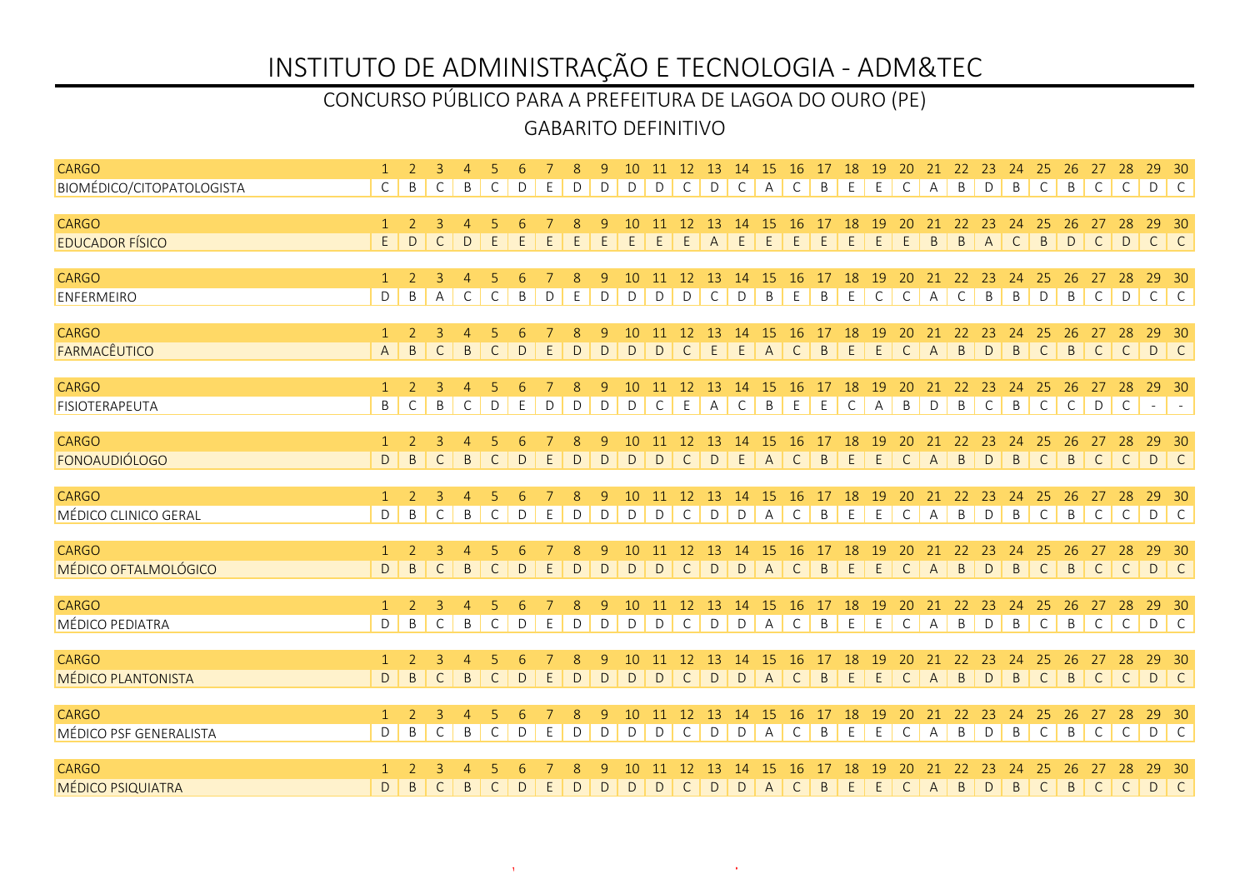### GABARITO DEFINITIVO CONCURSO PÚBLICO PARA A PREFEITURA DE LAGOA DO OURO (PE)

| <b>CARGO</b>                           |                         |                     |                                | $\overline{4}$                |                   |              |             |              | 9                | 10                | 11           | 12                           | 13 14                        |                    | 15                   | 16 17 18 19        |               |                   |                   | 20                 | 21 22 23       |                   |                   | 24                | 25                 | 26                | 27                | 28                 | 29           | $-30$      |
|----------------------------------------|-------------------------|---------------------|--------------------------------|-------------------------------|-------------------|--------------|-------------|--------------|------------------|-------------------|--------------|------------------------------|------------------------------|--------------------|----------------------|--------------------|---------------|-------------------|-------------------|--------------------|----------------|-------------------|-------------------|-------------------|--------------------|-------------------|-------------------|--------------------|--------------|------------|
| <b>BIOMÉDICO/CITOPATOLOGISTA</b>       | $\mathsf{C}$            | B                   | C                              | B                             | C                 | D            | E           | D            | D                | D                 | D            | $\mathsf{C}$                 | D                            | $\mathsf{C}$       | $\mathsf{A}$         | $\mathsf{C}$       | B             | E                 | E                 | $\mathsf{C}$       | $\overline{A}$ | B                 | D                 | B                 | $\mathsf{C}$       | B                 | $\mathsf{C}$      | $\mathsf{C}$       | D C          |            |
| <b>CARGO</b>                           | $\mathbf{1}$            | 2                   | 3                              |                               |                   |              |             |              |                  |                   |              | 12                           | -13                          | -14                | 15                   | -16                |               | 18                | 19                | 20                 | 21             | 22                | 23                | 24                | 25                 | 26                | 27                | 28                 | 29           | - 30       |
| <b>EDUCADOR FÍSICO</b>                 | $\overline{\mathsf{E}}$ | D                   | $\mathsf{C}$                   | D                             | E                 | E            | E           |              | E                | E.                | E            | E                            | $\overline{A}$               | E                  | E                    | E                  | E             | $\mathsf E$       | E                 | E                  | B              | B                 | $\overline{A}$    | $\mathsf{C}$      | $\mathsf{B}$       | D                 | $\mathsf{C}$      | D                  | $\mathsf{C}$ | C          |
| <b>CARGO</b>                           |                         |                     |                                |                               |                   |              |             |              |                  |                   |              |                              |                              |                    |                      |                    |               |                   |                   |                    |                |                   |                   |                   |                    |                   |                   |                    | 29           |            |
| ENFERMEIRO                             | $\mathbf{1}$<br>D       | 2<br>B              | 3<br>A                         | $\overline{4}$<br>$\mathsf C$ | -5<br>$\mathsf C$ | 6<br>$\sf B$ | $\mathsf D$ | 8<br>E       | 9<br>$\mathsf D$ | 10<br>D           | 11<br>D      | 12<br>D                      | 13<br>$\mathsf C$            | -14<br>$\mathsf D$ | -15<br>$\mathsf B$   | <b>16</b><br>E     | 17<br>B       | 18<br>$\mathsf E$ | 19<br>$\mathsf C$ | 20<br>$\mathsf{C}$ | 21<br>A        | 22<br>$\mathsf C$ | 23<br>$\sf B$     | 24<br>$\sf B$     | 25<br>$\mathsf D$  | 26<br>$\mathsf B$ | 27<br>$\mathsf C$ | 28<br>D            | $C$ $C$      | 30         |
|                                        |                         |                     |                                |                               |                   |              |             |              |                  |                   |              |                              |                              |                    |                      |                    |               |                   |                   |                    |                |                   |                   |                   |                    |                   |                   |                    |              |            |
| <b>CARGO</b>                           | $\mathbf{1}$            | <sup>2</sup>        | $\overline{3}$                 | $\overline{4}$                | 5                 |              |             | 8            | 9                | 10                | 11           | 12                           | 13                           | 14                 | <sup>15</sup>        | -16                | 17            | 18                | 19                | 20                 | 21             | 22                | 23                | 24                | 25                 | 26                | 27                | 28                 | 29           | - 30       |
| FARMACÊUTICO                           | $\overline{A}$          | $\mathsf{B}$        | $\mathsf{C}$                   | $\mathsf{B}$                  | $\mathsf{C}$      | $\mathsf{D}$ | $\mathsf E$ | $\mathsf{D}$ | $\mathsf D$      | D                 | D            | $\mathsf{C}$                 | E                            | $\mathsf E$        | A                    | $\overline{C}$     | B             | E                 | E                 | $\mathsf{C}$       | $\overline{A}$ | $\mathsf{B}$      | D                 | B                 | $\mathsf{C}$       | $\overline{B}$    |                   | C   C              | D C          |            |
| <b>CARGO</b>                           | $\mathbf{1}$            | 2                   | 3                              | $\overline{4}$                |                   | 6            |             | 8            | 9                | 10                | -11          | 12                           | 13                           | 14                 | 15                   | 16                 |               | 18                | 19                | 20                 | 21             | 22                | 23                | 24                | 25                 | 26                | 27                | 28                 | 29           | - 30       |
| FISIOTERAPEUTA                         | $\mathsf B$             | $\mathsf{C}$        | B                              | $\mathsf{C}$                  | D                 | E            | D           | D            | D                | D                 | C            | E                            | $\overline{A}$               | C                  | B                    | E                  | E             | $\mathsf{C}$      | $\overline{A}$    | B                  | D              | B                 | $\mathsf{C}$      | B                 | $\mathsf{C}$       | $\mathsf{C}$      | D                 | $\mathsf{C}$       | $\sim$       | $\sim$ $-$ |
| <b>CARGO</b>                           | $\mathbf{1}$            | 2                   | 3                              | $\overline{4}$                | -5                | 6            |             | 8            | 9                | 10                | -11          | 12                           | <sup>13</sup>                | 14                 | 15                   | 16                 | 17            | 18                | 19                | 20                 | 21             | 22                | 23                | 24                | 25                 | 26                | 27                | 28                 | 29           | $-30$      |
| FONOAUDIÓLOGO                          | D                       | B                   | $\mathsf{C}$                   | $\overline{B}$                | $\mathsf{C}$      | D            | E           | D            | D                | D                 | D            | $\mathsf{C}$                 | D                            | E                  | $\mathsf{A}$         | $\mathsf{C}$       | B             | E                 | E                 | $\mathsf{C}$       | $\overline{A}$ | B                 | D                 | $\mathsf{B}$      | $\mathsf{C}$       | $\overline{B}$    | $\mathsf{C}$      | $\mathsf{C}$       | D C          |            |
|                                        |                         |                     |                                |                               |                   |              |             |              |                  |                   |              |                              |                              |                    |                      |                    |               |                   |                   |                    |                |                   |                   |                   |                    |                   |                   |                    |              |            |
| <b>CARGO</b><br>MÉDICO CLINICO GERAL   | $\mathbf{1}$<br>D       | $\mathcal{L}$<br>B  | $\overline{3}$<br>$\mathsf{C}$ | $\overline{4}$<br>$\sf B$     | $\mathsf C$       | D            | E           | 8<br>D       | 9<br>$\mathsf D$ | 10<br>$\mathsf D$ | -11<br>D     | <sup>12</sup><br>$\mathsf C$ | <sup>13</sup><br>$\mathsf D$ | 14<br>$\mathsf D$  | -15<br>A             | -16<br>$\mathsf C$ | 17<br>$\sf B$ | 18<br>$\mathsf E$ | 19<br>E           | 20<br>$\mathsf C$  | 21<br>A        | 22<br>B           | 23<br>$\mathsf D$ | 24<br>$\sf B$     | 25<br>$\mathsf C$  | 26<br>$\mathsf B$ | 27<br>$\mathsf C$ | 28<br>$\mathsf C$  | 29<br>D C    | - 30       |
|                                        |                         |                     |                                |                               |                   |              |             |              |                  |                   |              |                              |                              |                    |                      |                    |               |                   |                   |                    |                |                   |                   |                   |                    |                   |                   |                    |              |            |
| <b>CARGO</b>                           | $\mathbf{1}$            | 2                   | 3                              | 4                             |                   |              |             |              | 9                | 10                | 11           | 12                           | 13                           | 14                 | 15                   | 16                 | 17            | 18                | 19                | 20                 | 21             | 22                | 23                | 24                | 25                 | 26                | 27                | 28                 | 29           | - 30       |
| MÉDICO OFTALMOLÓGICO                   | D                       | B.                  | C                              | $\sf B$                       | $\mathsf{C}$      | D            | E.          | D            | D                | D                 | D            | $\mathsf{C}$                 | D                            | D                  | $\overline{A}$       | $\mathsf{C}$       | B.            | E                 | E                 | $\mathsf{C}$       | $\mathsf{A}$   | B                 | D                 | $\mathsf{B}$      | $\mathsf{C}$       | B                 | $\mathsf{C}$      | C                  | D C          |            |
| <b>CARGO</b>                           | $\mathbf{1}$            | 2                   | 3                              | $\overline{4}$                |                   |              |             | 8            | 9                | 10                |              | 12                           | 13                           | 14                 | 15                   | 16                 | 17            | 18                | 19                | 20                 |                | 22                | 23                | 24                | 25                 | 26                |                   | 28                 | 29           | - 30       |
| <b>MÉDICO PEDIATRA</b>                 | D                       | B                   | $\mathsf{C}$                   | B                             | $\mathsf{C}$      | D            | E           | D            | D                | D                 | D            | $\mathsf{C}$                 | D                            | D                  | $\overline{A}$       | $\mathsf{C}$       | B             | E                 | E                 | $\mathsf{C}$       | $\mathsf{A}$   | B                 | D                 | B                 | $\mathsf{C}$       | B                 | $\mathsf{C}$      | $\mathsf{C}$       | D C          |            |
| <b>CARGO</b>                           | $\mathbf{1}$            | 2                   | 3                              | $\overline{4}$                | 5                 |              |             | 8            | 9                | 10                | 11           | 12                           | 13                           | 14                 | <b>15</b>            | 16                 | 17            | 18                | 19                | 20                 | 21             | 22                | 23                | 24                | 25                 | 26                | 27                | 28                 | 29           | - 30       |
| <b>MÉDICO PLANTONISTA</b>              | $\mathsf{D}$            | B                   | $\mathsf{C}$                   | $\overline{B}$                | $\mathsf{C}$      | $\mathsf{D}$ | $\mathsf E$ | D            | $\mathsf D$      | D                 | $\mathsf{D}$ | $\mathsf{C}$                 | $\mathsf{D}$                 | D                  | $\mathsf{A}$         | $\mathsf{C}$       | $\mathsf B$   | $\mathsf E$       | E                 | $\mathsf{C}$       | $\overline{A}$ | $\mathsf B$       | $\mathsf D$       | $\mathsf{B}$      | $\mathsf{C}$       | $\overline{B}$    | $\mathsf{C}$      | $\mathsf{C}$       | D C          |            |
|                                        |                         |                     |                                |                               |                   |              |             |              |                  |                   |              |                              |                              |                    |                      |                    |               |                   |                   |                    |                |                   |                   |                   |                    |                   |                   |                    |              |            |
| <b>CARGO</b><br>MÉDICO PSF GENERALISTA | $\mathbf{1}$<br>D       | $\overline{2}$<br>B | $\mathbf{3}$<br>C              | $\overline{4}$<br>$\mathsf B$ | -5<br>C           | 6<br>D       | E           | 8<br>D       | 9<br>D           | 10<br>D           | 11<br>D      | 12<br>C                      | 13<br>D                      | 14<br>$\mathsf D$  | 15<br>$\overline{A}$ | 16<br>C            | 17<br>B       | 18<br>E           | 19<br>E           | 20<br>C            | 21<br>А        | 22<br>B           | 23<br>D           | 24<br>$\mathsf B$ | 25<br>$\mathsf{C}$ | 26<br>B           | 27<br>C           | 28<br>$\mathsf{C}$ | 29 30<br>D C |            |
|                                        |                         |                     |                                |                               |                   |              |             |              |                  |                   |              |                              |                              |                    |                      |                    |               |                   |                   |                    |                |                   |                   |                   |                    |                   |                   |                    |              |            |
| <b>CARGO</b>                           |                         |                     |                                |                               |                   |              |             |              |                  |                   |              |                              |                              |                    |                      | 16                 |               | 18                | 19                |                    | 21             | 22                | 23                | 24                | 25                 | 26                | 27                | 28                 | 29           | - 30       |
| <b>MÉDICO PSIQUIATRA</b>               | D                       | B                   | C                              | $\overline{B}$                | $\mathsf{C}$      | D            | E           | D            | D                | D                 | D            | C                            | D                            | D                  | $\mathsf{A}$         | C                  | B             | E                 | E                 | $\mathsf{C}$       | A              | B                 | D                 | $\mathsf{B}$      | $\mathsf{C}$       | $\overline{B}$    | $\mathsf{C}$      | $\mathsf{C}$       | D C          |            |

www.pciconcursos.com.br